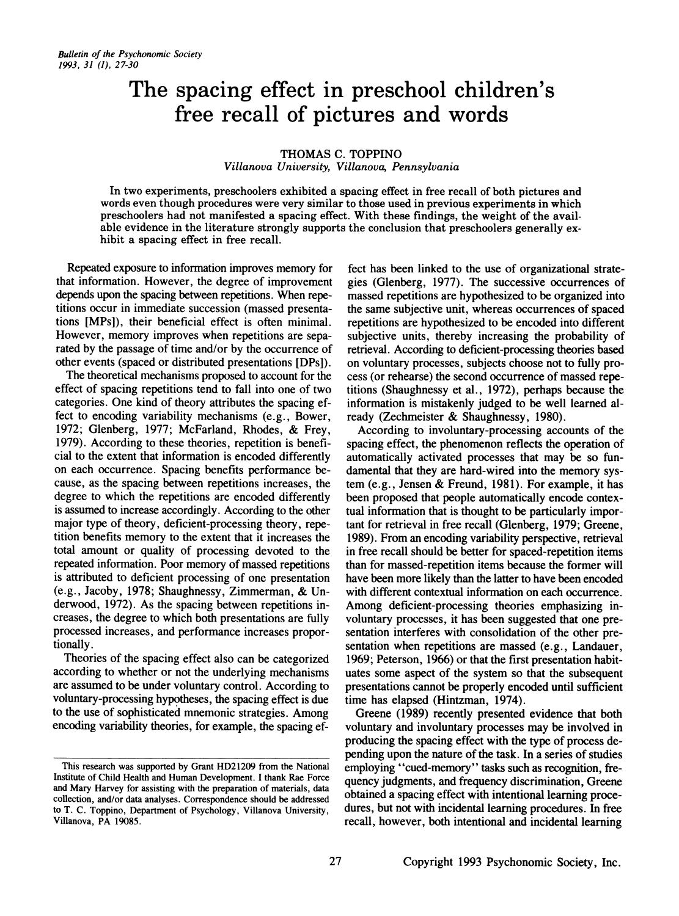# **The spacing effect in preschool children's free recall of pictures and words**

### THOMAS C. TOPPINO

*Villanova University, Villanova, Pennsylvania*

In two experiments, preschoolers exhibited a spacing effect in free recall of both pictures and words even though procedures were very similar to those used in previous experiments in which preschoolers had not manifested a spacing effect . With these findings, the weight of the available evidence in the literature strongly supports the conclusion that preschoolers generally exhibit a spacing effect in free recall.

Repeated exposure to information improves memory for that information. However, the degree of improvement depends upon the spacing between repetitions. When repetitions occur in immediate succession (massed presentations [MPs]), their beneficial effect is often minimal. However, memory improves when repetitions are separated by the passage of time and/or by the occurrence of other events (spaced or distributed presentations [DPs]).

The theoretical mechanisms proposed to account for the effect of spacing repetitions tend to fall into one of two categories. One kind of theory attributes the spacing effect to encoding variability mechanisms (e.g., Bower, 1972; Glenberg, 1977; McFarland, Rhodes, & Frey, 1979). According to these theories, repetition is beneficial to the extent that information is encoded differently on each occurrence. Spacing benefits performance because, as the spacing between repetitions increases, the degree to which the repetitions are encoded differently is assumed to increase accordingly. According to the other major type of theory, deficient-processing theory, repetition benefits memory to the extent that it increases the total amount or quality of processing devoted to the repeated information. Poor memory of massed repetitions is attributed to deficient processing of one presentation (e.g., Jacoby, 1978; Shaughnessy, Zimmerman, & Underwood, 1972) . As the spacing between repetitions increases, the degree to which both presentations are fully processed increases, and performance increases proportionally.

Theories of the spacing effect also can be categorized according to whether or not the underlying mechanisms are assumed to be under voluntary control. According to voluntary-processing hypotheses, the spacing effect is due to the use of sophisticated mnemonic strategies. Among encoding variability theories, for example, the spacing effeet has been linked to the use of organizational strategies (Glenberg, 1977). The successive occurrences of massed repetitions are hypothesized to be organized into the same subjective unit, whereas occurrences of spaced repetitions are hypothesized to be encoded into different subjective units, thereby increasing the probability of retrieval. According to deficient-processing theories based on voluntary processes, subjects choose not to fully process (or rehearse) the second occurrence of massed repe titions (Shaughnessy et al., 1972), perhaps because the information is mistakenly judged to be well learned already (Zechmeister & Shaughnessy, 1980).

According to involuntary-processing accounts of the spacing effect, the phenomenon reflects the operation of automatically activated processes that may be so fundamental that they are hard-wired into the memory system (e.g., Jensen & Freund, 1981). For example, it has been proposed that people automatically encode contextual information that is thought to be particularly important for retrieval in free recall (Glenberg, 1979; Greene, 1989). From an encoding variability perspective, retrieval in free recall should be better for spaced-repetition items than for massed-repetition items because the former will have been more likely than the latter to have been encoded with different contextual information on each occurrence. Among deficient-processing theories emphasizing involuntary processes, it has been suggested that one presentation interferes with consolidation of the other presentation when repetitions are massed (e.g., Landauer, 1969; Peterson, 1966) or that the first presentation habituates some aspect of the system so that the subsequent presentations cannot be properly encoded until sufficient time has elapsed (Hintzman, 1974).

Greene (1989) recently presented evidence that both voluntary and involuntary processes may be involved in producing the spacing effect with the type of process depending upon the nature of the task. In a series of studies employing "cued-memory" tasks such as recognition, frequency judgments, and frequency discrimination, Greene obtained a spacing effect with intentional learning procedures, but not with incidental learning procedures. In free recall, however, both intentional and incidental learning

This research was supported by Grant HD21209 from the National Institute of Child Health and Human Development. I thank Rae Force and Mary Harvey for assisting with the preparation of materials, data collection, and/or data analyses. Correspondence should be addressed to T. C. Toppino, Department of Psychology, Villanova University, Villanova, PA 19085.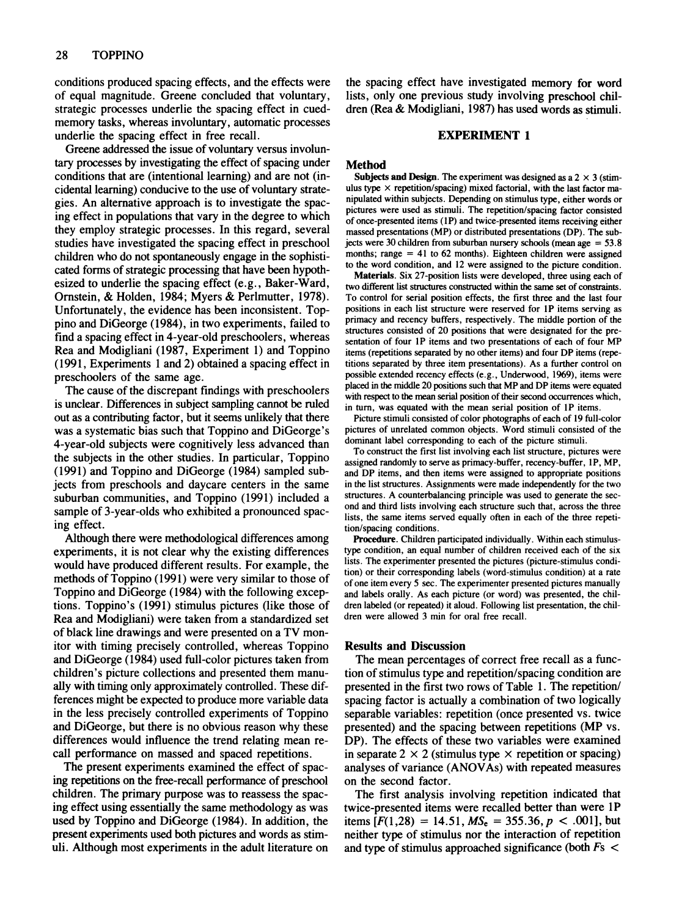conditions produced spacing effects, and the effects were of equal magnitude. Greene concluded that voluntary, strategic processes underlie the spacing effect in cuedmemory tasks, whereas involuntary, automatic processes underlie the spacing effect in free recall.

Greene addressed the issue of voluntary versus involuntary processes by investigating the effect of spacing under conditions that are (intentional learning) and are not (incidental learning) conducive to the use of voluntary strategies. An alternative approach is to investigate the spacing effect in populations that vary in the degree to which they employ strategic processes. In this regard, several studies have investigated the spacing effect in preschool children who do not spontaneously engage in the sophisticated forms of strategic processing that have been hypothesized to underlie the spacing effect (e.g., Baker-Ward, Ornstein, & Holden, 1984; Myers & Perlmutter, 1978). Unfortunately, the evidence has been inconsistent. Toppino and DiGeorge (1984), in two experiments, failed to find a spacing effect in 4-year-old preschoolers, whereas Rea and Modigliani (1987, Experiment 1) and Toppino (1991, Experiments 1 and 2) obtained a spacing effect in preschoolers of the same age.

The cause of the discrepant findings with preschoolers is unclear. Differences in subject sampling cannot be ruled out as a contributing factor, but it seems unlikely that there was a systematic bias such that Toppino and DiGeorge's 4-year-old subjects were cognitively less advanced than the subjects in the other studies. In particular, Toppino (1991) and Toppino and DiGeorge (1984) sampled subjects from preschools and daycare centers in the same suburban communities, and Toppino (1991) included a sample of 3-year-olds who exhibited a pronounced spacing effect.

Although there were methodological differences among experiments, it is not clear why the existing differences would have produced different results. For example, the methods of Toppino (1991) were very similar to those of Toppino and DiGeorge (1984) with the following exceptions. Toppino's (1991) stimulus pictures (like those of Rea and Modigliani) were taken from a standardized set of black line drawings and were presented on a TV monitor with timing precisely controlled, whereas Toppino and DiGeorge (1984) used full-color pictures taken from children's picture collections and presented them manually with timing only approximately controlled. These differences might be expected to produce more variable data in the less precisely controlled experiments of Toppino and DiGeorge, but there is no obvious reason why these differences would influence the trend relating mean recall performance on massed and spaced repetitions.

The present experiments examined the effect of spacing repetitions on the free-recall performance of preschool children. The primary purpose was to reassess the spacing effect using essentially the same methodology as was used by Toppino and DiGeorge (1984) . In addition, the present experiments used both pictures and words as stimuli. Although most experiments in the adult literature on the spacing effect have investigated memory for word lists, only one previous study involving preschool children (Rea & Modigliani, 1987) has used words as stimuli.

### EXPERIMENT 1

#### Method

Subjects and Design. The experiment was designed as a  $2 \times 3$  (stimulus type  $\times$  repetition/spacing) mixed factorial, with the last factor manipulated within subjects . Depending on stimulus type, either words or pictures were used as stimuli. The repetition/spacing factor consisted of once-presented items (1P) and twice-presented items receiving either massed presentations (MP) or distributed presentations (DP) . The subjects were 30 children from suburban nursery schools (mean age =  $53.8$ ) months; range  $= 41$  to 62 months). Eighteen children were assigned to the word condition, and 12 were assigned to the picture condition.

Materials. Six 27-position lists were developed, three using each of two different list structures constructed within the same set of constraints. To control for serial position effects, the first three and the last four positions in each list structure were reserved for IP items serving as primacy and recency buffers, respectively. The middle portion of the structures consisted of 20 positions that were designated for the presentation of four IP items and two presentations of each of four MP items (repetitions separated by no other items) and four DP items (repetitions separated by three item presentations). As a further control on possible extended recency effects (e.g., Underwood, 1969), items were placed in the middle 20 positions such that MP and DP items were equated with respect to the mean serial position of their second occurrences which, in turn, was equated with the mean serial position of 1P items.

Picture stimuli consisted of color photographs of each of 19 full-color pictures of unrelated common objects. Word stimuli consisted of the dominant label corresponding to each of the picture stimuli.

To construct the first list involving each list structure, pictures were assigned randomly to serve as primacy-buffer, recency-buffer, IP, MP, and DP items, and then items were assigned to appropriate positions in the list structures . Assignments were made independently for the two structures . A counterbalancing principle was used to generate the second and third lists involving each structure such that, across the three lists, the same items served equally often in each of the three repetition/spacing conditions .

Procedure. Children participated individually. Within each stimulustype condition, an equal number of children received each of the six lists. The experimenter presented the pictures (picture-stimulus condition) or their corresponding labels (word-stimulus condition) at a rate of one item every 5 sec. The experimenter presented pictures manually and labels orally. As each picture (or word) was presented, the children labeled (or repeated) it aloud. Following list presentation, the children were allowed 3 min for oral free recall.

#### Results and Discussion

The mean percentages of correct free recall as a function of stimulus type and repetition/spacing condition are presented in the first two rows of Table 1. The repetition/ spacing factor is actually a combination of two logically separable variables: repetition (once presented vs. twice presented) and the spacing between repetitions (MP vs. DP). The effects of these two variables were examined in separate  $2 \times 2$  (stimulus type  $\times$  repetition or spacing) analyses of variance (ANOVAs) with repeated measures on the second factor.

The first analysis involving repetition indicated that twice-presented items were recalled better than were IP items  $[F(1,28) = 14.51, MS_e = 355.36, p < .001]$ , but neither type of stimulus nor the interaction of repetition and type of stimulus approached significance (both  $Fs <$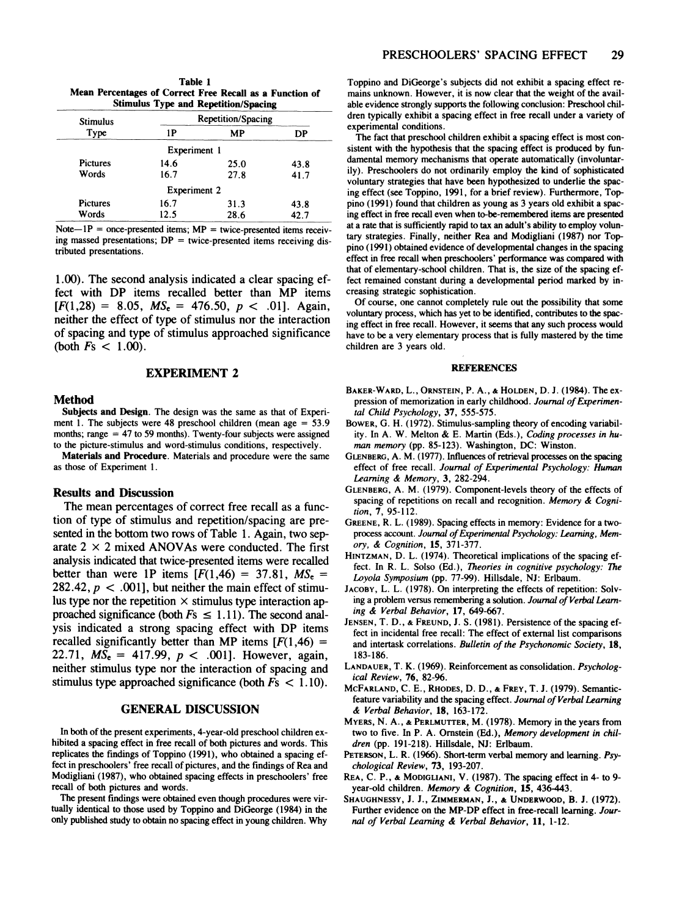| Table 1                                                  |  |  |  |  |
|----------------------------------------------------------|--|--|--|--|
| Mean Percentages of Correct Free Recall as a Function of |  |  |  |  |
| <b>Stimulus Type and Repetition/Spacing</b>              |  |  |  |  |

| <b>Stimulus</b> | . .<br><b>Repetition/Spacing</b> |      |      |
|-----------------|----------------------------------|------|------|
| Type            | 1P                               | MP   | DP   |
|                 | Experiment 1                     |      |      |
| <b>Pictures</b> | 14.6                             | 25.0 | 43.8 |
| Words           | 16.7                             | 27.8 | 41.7 |
|                 | <b>Experiment 2</b>              |      |      |
| <b>Pictures</b> | 16.7                             | 31.3 | 43.8 |
| Words           | 12.5                             | 28.6 | 42.7 |

Note $-1P$  = once-presented items;  $MP$  = twice-presented items receiving massed presentations;  $DP = twice-presented$  items receiving distributed presentations.

1.00). The second analysis indicated a clear spacing effect with DP items recalled better than MP items  $[F(1,28) = 8.05, MS_e = 476.50, p < .01]$ . Again, neither the effect of type of stimulus nor the interaction of spacing and type of stimulus approached significance (both  $Fs < 1.00$ ).

## **EXPERIMENT 2** REFERENCES

#### Method

Subjects and Design. The design was the same as that of Experiment 1. The subjects were 48 preschool children (mean age  $= 53.9$ months; range  $= 47$  to 59 months). Twenty-four subjects were assigned to the picture-stimulus and word-stimulus conditions, respectively.

Materials and Procedure. Materials and procedure were the same as those of Experiment 1.

#### Results and Discussion

The mean percentages of correct free recall as a function of type of stimulus and repetition/spacing are presented in the bottom two rows of Table I. Again, two separate  $2 \times 2$  mixed ANOVAs were conducted. The first analysis indicated that twice-presented items were recalled better than were 1P items  $[F(1,46) = 37.81, MS_e =$ 282.42,  $p < .001$ , but neither the main effect of stimulus type nor the repetition  $\times$  stimulus type interaction approached significance (both  $Fs \leq 1.11$ ). The second analysis indicated a strong spacing effect with DP items recalled significantly better than MP items  $[F(1,46) =$ 22.71,  $MS_e = 417.99$ ,  $p < .001$ . However, again, neither stimulus type nor the interaction of spacing and stimulus type approached significance (both *Fs* < 1.10).

#### GENERAL DISCUSSION

In both of the present experiments, 4-year-old preschool children exhibited a spacing effect in free recall of both pictures and words. This replicates the findings of Toppino (1991), who obtained a spacing effect in preschoolers' free recall of pictures, and the findings of Rea and Modigliani (1987), who obtained spacing effects in preschoolers' free recall of both pictures and words .

The present findings were obtained even though procedures were virtually identical to those used by Toppino and DiGeorge (1984) in the only published study to obtain no spacing effect in young children. Why Toppino and DiGeorge's subjects did not exhibit a spacing effect remains unknown. However, it is now clear that the weight of the available evidence strongly supports the following conclusion: Preschool children typically exhibit a spacing effect in free recall under a variety of experimental conditions.

The fact that preschool children exhibit a spacing effect is most consistent with the hypothesis that the spacing effect is produced by fundamental memory mechanisms that operate automatically (involuntarily). Preschoolers do not ordinarily employ the kind of sophisticated voluntary strategies that have been hypothesized to underlie the spacing effect (see Toppino, 1991, for a brief review). Furthermore, Toppino (1991) found that children as young as 3 years old exhibit a spacing effect in free reca11 even when to-be-remembered items are presented at a rate that is sufficiently rapid to tax an adult's ability to employ voluntary strategies. Finally, neither Rea and Modigliani (1987) nor Toppino (1991) obtained evidence of developmental changes in the spacing effect in free recall when preschoolers' performance was compared with that of elementary-school children. That is, the size of the spacing effect remained constant during a developmental period marked by increasing strategic sophistication.

Of course, one cannot completely rule out the possibility that some voluntary process, which has yet to be identified, contributes to the spacing effect in free recall. However, it seems that any such process would have to be a very elementary process that is fully mastered by the time children are 3 years old.

- BAKER-WARD, L., ORNSTEIN, P. A., & HOLDEN, D. J. (1984). The expression of memorization in early childhood. *Journal of Experimental Child Psychology,* 37, 555-575.
- BOWER, G. H. (1972) . Stimulus-sampling theory of encoding variability. In A. W. Melton & E. Martin (Eds.), *Coding processes in human memory* (pp. 85-123). Washington, DC: Winston.
- GLENBERG, A. M. (1977). Influences of retrieval processes on the spacing effect of free recall. *Journal of Experimental Psychology: Human Learning* & *Memory,* 3, 282 -294 .
- GLENBERG, A. M. (1979) . Component-levels theory of the effects of spacing of repetitions on recall and recognition. *Memory* & *Cognition*, 7, 95-112.
- GREENE, R. L. (1989). Spacing effects in memory: Evidence for a twoprocess account. Journal of Experimental Psychology: Learning, Mem*ory.* & *Cognition,* IS, 371-377 .
- HINTZMAN, D. L. (1974). Theoretical implications of the spacing effect. In R. L. Solso (Ed.), *Theories in cognitive psychology: The* Loyola Symposium (pp. 77-99). Hillsdale, NJ: Erlbaum.
- JACOBY, L. L. (1978). On interpreting the effects of repetition: Solving a problem versus remembering a solution. Journal of Verbal Learn*ing* & *Verbal Behavior,* 17,649-667.
- JENSEN, T. D., & FREUND, J. S. (1981). Persistence of the spacing effect in incidental free recall: The effect of external list comparisons and intertask correlations. *Bulletin of the Psychonomic Society*, 18, 183-186.
- LANDAUER, T. K. (1969). Reinforcement as consolidation. *Psychological Review,* 76, 82-96.
- McFARLAND, C. E., RHODES, D. D., & FREY, T. J. (1979). Semanticfeature variability and the spacing effect. *Journal of Verbal Learning* & *Verbal Behavior,* 18, 163-172 .
- MYERS, N. A., & PERLMUTTER, M. (1978). Memory in the years from two to five. In P. A. Ornstein (Ed.), *Memory development in chil*dren (pp. 191-218). Hillsdale, NJ: Erlbaum.
- PETERSON, L. R. (1966). Short-term verbal memory and learning. Psy*chological Review,* 73, 193-207.
- REA, C. P., & MODIGLIANI, V. (1987). The spacing effect in 4- to 9year-old children. *Memory* & *Cognition*, 15, 436-443.
- SHAUGHNESSY, J. J., ZIMMERMAN, J., & UNDERWOOD, B. J. (1972). Further evidence on the MP-DP effect in free-recall learning. *Journal of Verbal Learning* & *Verbal Behovior,* 11, 1-12 .